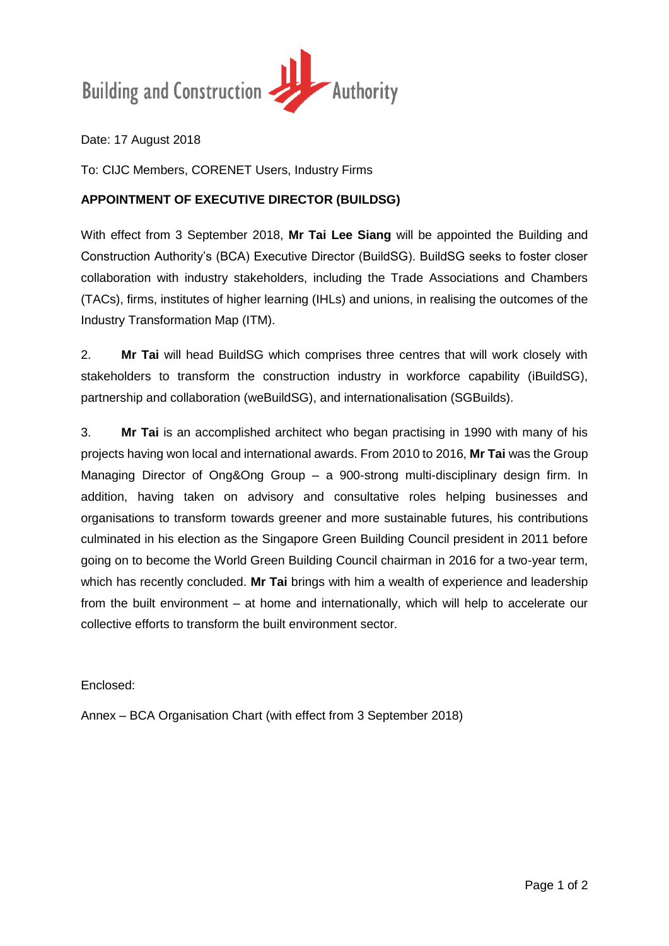

Date: 17 August 2018

To: CIJC Members, CORENET Users, Industry Firms

## **APPOINTMENT OF EXECUTIVE DIRECTOR (BUILDSG)**

With effect from 3 September 2018, **Mr Tai Lee Siang** will be appointed the Building and Construction Authority's (BCA) Executive Director (BuildSG). BuildSG seeks to foster closer collaboration with industry stakeholders, including the Trade Associations and Chambers (TACs), firms, institutes of higher learning (IHLs) and unions, in realising the outcomes of the Industry Transformation Map (ITM).

2. **Mr Tai** will head BuildSG which comprises three centres that will work closely with stakeholders to transform the construction industry in workforce capability (iBuildSG), partnership and collaboration (weBuildSG), and internationalisation (SGBuilds).

3. **Mr Tai** is an accomplished architect who began practising in 1990 with many of his projects having won local and international awards. From 2010 to 2016, **Mr Tai** was the Group Managing Director of Ong&Ong Group – a 900-strong multi-disciplinary design firm. In addition, having taken on advisory and consultative roles helping businesses and organisations to transform towards greener and more sustainable futures, his contributions culminated in his election as the Singapore Green Building Council president in 2011 before going on to become the World Green Building Council chairman in 2016 for a two-year term, which has recently concluded. **Mr Tai** brings with him a wealth of experience and leadership from the built environment – at home and internationally, which will help to accelerate our collective efforts to transform the built environment sector.

Enclosed:

Annex – BCA Organisation Chart (with effect from 3 September 2018)